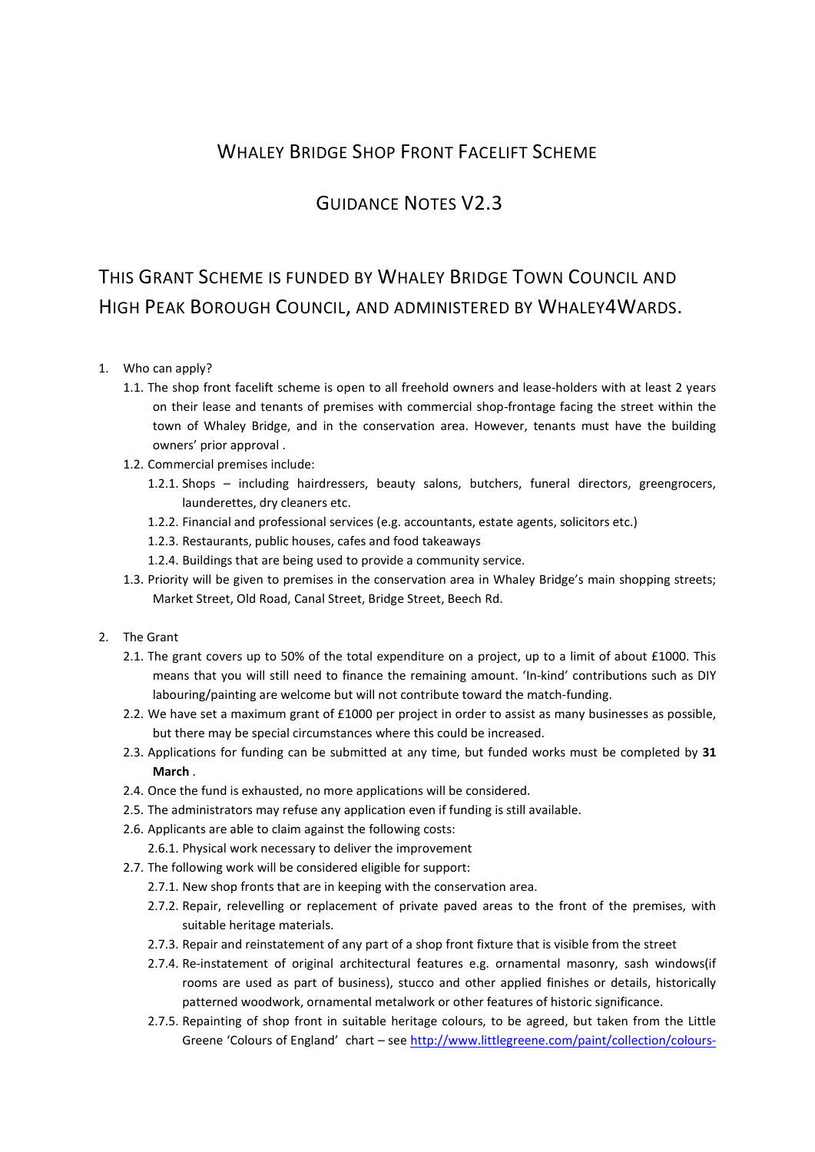## WHALEY BRIDGE SHOP FRONT FACELIFT SCHEME

## GUIDANCE NOTES V2.3

## THIS GRANT SCHEME IS FUNDED BY WHALEY BRIDGE TOWN COUNCIL AND HIGH PEAK BOROUGH COUNCIL, AND ADMINISTERED BY WHALEY4WARDS.

## 1. Who can apply?

- 1.1. The shop front facelift scheme is open to all freehold owners and lease-holders with at least 2 years on their lease and tenants of premises with commercial shop-frontage facing the street within the town of Whaley Bridge, and in the conservation area. However, tenants must have the building owners' prior approval .
- 1.2. Commercial premises include:
	- 1.2.1. Shops including hairdressers, beauty salons, butchers, funeral directors, greengrocers, launderettes, dry cleaners etc.
	- 1.2.2. Financial and professional services (e.g. accountants, estate agents, solicitors etc.)
	- 1.2.3. Restaurants, public houses, cafes and food takeaways
	- 1.2.4. Buildings that are being used to provide a community service.
- 1.3. Priority will be given to premises in the conservation area in Whaley Bridge's main shopping streets; Market Street, Old Road, Canal Street, Bridge Street, Beech Rd.
- 2. The Grant
	- 2.1. The grant covers up to 50% of the total expenditure on a project, up to a limit of about £1000. This means that you will still need to finance the remaining amount. 'In-kind' contributions such as DIY labouring/painting are welcome but will not contribute toward the match-funding.
	- 2.2. We have set a maximum grant of £1000 per project in order to assist as many businesses as possible, but there may be special circumstances where this could be increased.
	- 2.3. Applications for funding can be submitted at any time, but funded works must be completed by 31 March .
	- 2.4. Once the fund is exhausted, no more applications will be considered.
	- 2.5. The administrators may refuse any application even if funding is still available.
	- 2.6. Applicants are able to claim against the following costs:
		- 2.6.1. Physical work necessary to deliver the improvement
	- 2.7. The following work will be considered eligible for support:
		- 2.7.1. New shop fronts that are in keeping with the conservation area.
		- 2.7.2. Repair, relevelling or replacement of private paved areas to the front of the premises, with suitable heritage materials.
		- 2.7.3. Repair and reinstatement of any part of a shop front fixture that is visible from the street
		- 2.7.4. Re-instatement of original architectural features e.g. ornamental masonry, sash windows(if rooms are used as part of business), stucco and other applied finishes or details, historically patterned woodwork, ornamental metalwork or other features of historic significance.
		- 2.7.5. Repainting of shop front in suitable heritage colours, to be agreed, but taken from the Little Greene 'Colours of England' chart – see http://www.littlegreene.com/paint/collection/colours-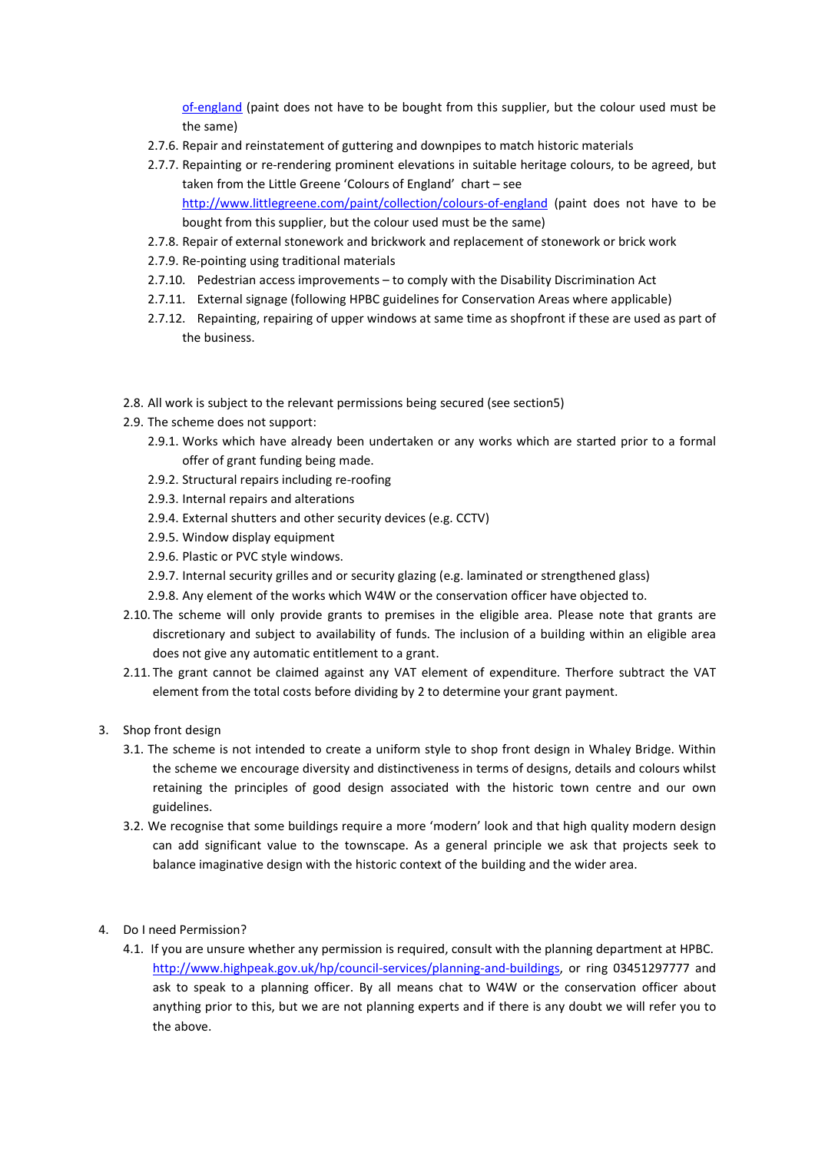of-england (paint does not have to be bought from this supplier, but the colour used must be the same)

- 2.7.6. Repair and reinstatement of guttering and downpipes to match historic materials
- 2.7.7. Repainting or re-rendering prominent elevations in suitable heritage colours, to be agreed, but taken from the Little Greene 'Colours of England' chart – see http://www.littlegreene.com/paint/collection/colours-of-england (paint does not have to be bought from this supplier, but the colour used must be the same)
- 2.7.8. Repair of external stonework and brickwork and replacement of stonework or brick work
- 2.7.9. Re-pointing using traditional materials
- 2.7.10. Pedestrian access improvements to comply with the Disability Discrimination Act
- 2.7.11. External signage (following HPBC guidelines for Conservation Areas where applicable)
- 2.7.12. Repainting, repairing of upper windows at same time as shopfront if these are used as part of the business.
- 2.8. All work is subject to the relevant permissions being secured (see section5)
- 2.9. The scheme does not support:
	- 2.9.1. Works which have already been undertaken or any works which are started prior to a formal offer of grant funding being made.
	- 2.9.2. Structural repairs including re-roofing
	- 2.9.3. Internal repairs and alterations
	- 2.9.4. External shutters and other security devices (e.g. CCTV)
	- 2.9.5. Window display equipment
	- 2.9.6. Plastic or PVC style windows.
	- 2.9.7. Internal security grilles and or security glazing (e.g. laminated or strengthened glass)
	- 2.9.8. Any element of the works which W4W or the conservation officer have objected to.
- 2.10. The scheme will only provide grants to premises in the eligible area. Please note that grants are discretionary and subject to availability of funds. The inclusion of a building within an eligible area does not give any automatic entitlement to a grant.
- 2.11. The grant cannot be claimed against any VAT element of expenditure. Therfore subtract the VAT element from the total costs before dividing by 2 to determine your grant payment.
- 3. Shop front design
	- 3.1. The scheme is not intended to create a uniform style to shop front design in Whaley Bridge. Within the scheme we encourage diversity and distinctiveness in terms of designs, details and colours whilst retaining the principles of good design associated with the historic town centre and our own guidelines.
	- 3.2. We recognise that some buildings require a more 'modern' look and that high quality modern design can add significant value to the townscape. As a general principle we ask that projects seek to balance imaginative design with the historic context of the building and the wider area.
- 4. Do I need Permission?
	- 4.1. If you are unsure whether any permission is required, consult with the planning department at HPBC. http://www.highpeak.gov.uk/hp/council-services/planning-and-buildings, or ring 03451297777 and ask to speak to a planning officer. By all means chat to W4W or the conservation officer about anything prior to this, but we are not planning experts and if there is any doubt we will refer you to the above.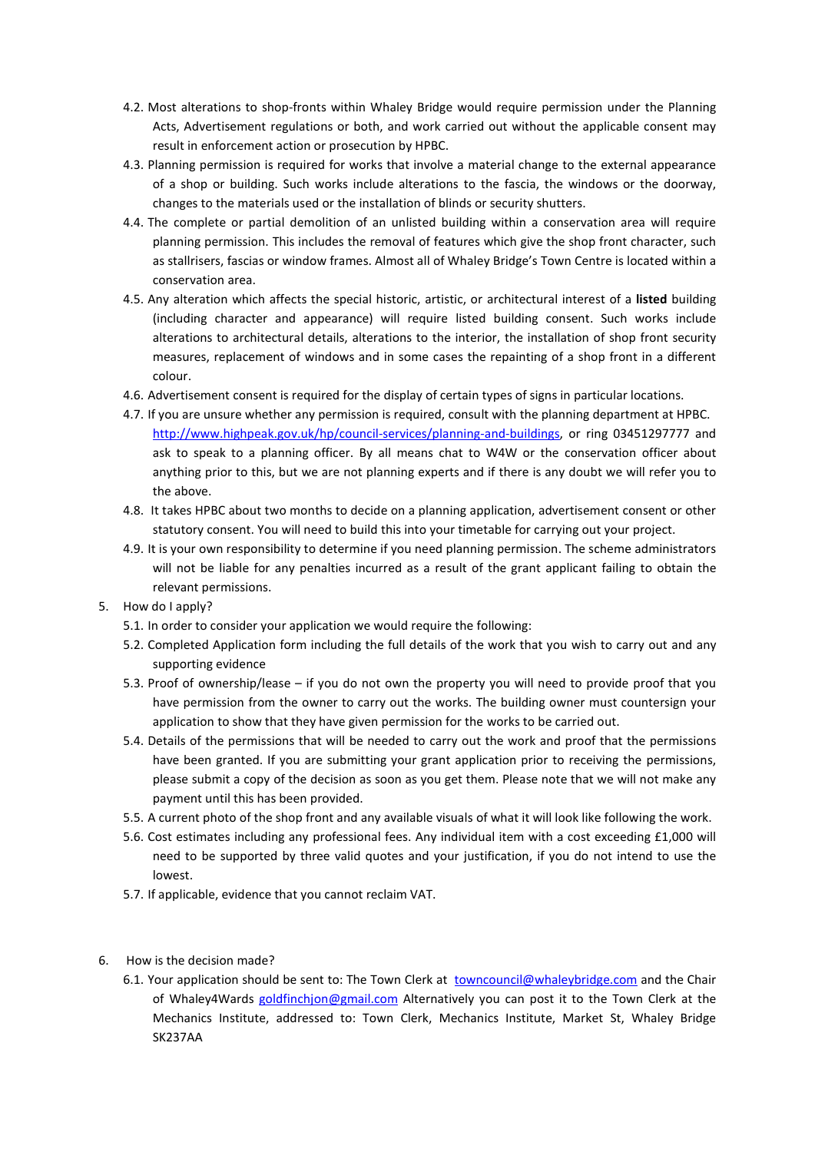- 4.2. Most alterations to shop-fronts within Whaley Bridge would require permission under the Planning Acts, Advertisement regulations or both, and work carried out without the applicable consent may result in enforcement action or prosecution by HPBC.
- 4.3. Planning permission is required for works that involve a material change to the external appearance of a shop or building. Such works include alterations to the fascia, the windows or the doorway, changes to the materials used or the installation of blinds or security shutters.
- 4.4. The complete or partial demolition of an unlisted building within a conservation area will require planning permission. This includes the removal of features which give the shop front character, such as stallrisers, fascias or window frames. Almost all of Whaley Bridge's Town Centre is located within a conservation area.
- 4.5. Any alteration which affects the special historic, artistic, or architectural interest of a listed building (including character and appearance) will require listed building consent. Such works include alterations to architectural details, alterations to the interior, the installation of shop front security measures, replacement of windows and in some cases the repainting of a shop front in a different colour.
- 4.6. Advertisement consent is required for the display of certain types of signs in particular locations.
- 4.7. If you are unsure whether any permission is required, consult with the planning department at HPBC. http://www.highpeak.gov.uk/hp/council-services/planning-and-buildings, or ring 03451297777 and ask to speak to a planning officer. By all means chat to W4W or the conservation officer about anything prior to this, but we are not planning experts and if there is any doubt we will refer you to the above.
- 4.8. It takes HPBC about two months to decide on a planning application, advertisement consent or other statutory consent. You will need to build this into your timetable for carrying out your project.
- 4.9. It is your own responsibility to determine if you need planning permission. The scheme administrators will not be liable for any penalties incurred as a result of the grant applicant failing to obtain the relevant permissions.
- 5. How do I apply?
	- 5.1. In order to consider your application we would require the following:
	- 5.2. Completed Application form including the full details of the work that you wish to carry out and any supporting evidence
	- 5.3. Proof of ownership/lease if you do not own the property you will need to provide proof that you have permission from the owner to carry out the works. The building owner must countersign your application to show that they have given permission for the works to be carried out.
	- 5.4. Details of the permissions that will be needed to carry out the work and proof that the permissions have been granted. If you are submitting your grant application prior to receiving the permissions, please submit a copy of the decision as soon as you get them. Please note that we will not make any payment until this has been provided.
	- 5.5. A current photo of the shop front and any available visuals of what it will look like following the work.
	- 5.6. Cost estimates including any professional fees. Any individual item with a cost exceeding £1,000 will need to be supported by three valid quotes and your justification, if you do not intend to use the lowest.
	- 5.7. If applicable, evidence that you cannot reclaim VAT.
- 6. How is the decision made?
	- 6.1. Your application should be sent to: The Town Clerk at towncouncil@whaleybridge.com and the Chair of Whaley4Wards goldfinchjon@gmail.com Alternatively you can post it to the Town Clerk at the Mechanics Institute, addressed to: Town Clerk, Mechanics Institute, Market St, Whaley Bridge SK237AA